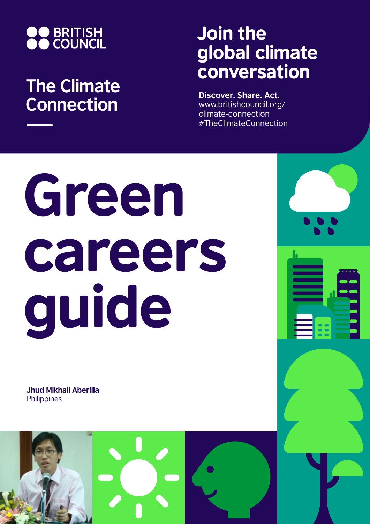

## **The Climate Connection**

## Join the global climate conversation

**Discover. Share. Act.** www.britishcouncil.org/ climate-connection #TheClimateConnection

# Green careers guide

**Jhud Mikhail Aberilla Philippines** 

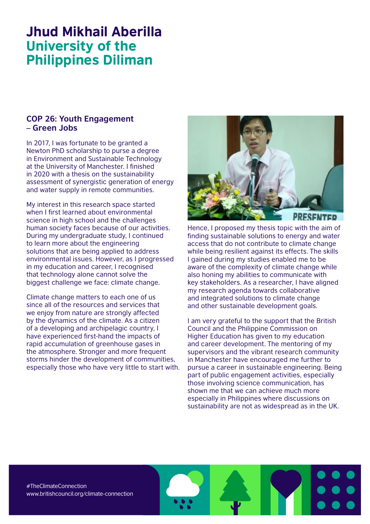### Jhud Mikhail Aberilla University of the Philippines Diliman

#### **COP 26: Youth Engagement – Green Jobs**

In 2017, I was fortunate to be granted a Newton PhD scholarship to purse a degree in Environment and Sustainable Technology at the University of Manchester. I finished in 2020 with a thesis on the sustainability assessment of synergistic generation of energy and water supply in remote communities.

My interest in this research space started when I first learned about environmental science in high school and the challenges human society faces because of our activities. During my undergraduate study, I continued to learn more about the engineering solutions that are being applied to address environmental issues. However, as I progressed in my education and career, I recognised that technology alone cannot solve the biggest challenge we face: climate change.

Climate change matters to each one of us since all of the resources and services that we enjoy from nature are strongly affected by the dynamics of the climate. As a citizen of a developing and archipelagic country, I have experienced first-hand the impacts of rapid accumulation of greenhouse gases in the atmosphere. Stronger and more frequent storms hinder the development of communities, especially those who have very little to start with.



Hence, I proposed my thesis topic with the aim of finding sustainable solutions to energy and water access that do not contribute to climate change while being resilient against its effects. The skills I gained during my studies enabled me to be aware of the complexity of climate change while also honing my abilities to communicate with key stakeholders. As a researcher, I have aligned my research agenda towards collaborative and integrated solutions to climate change and other sustainable development goals.

I am very grateful to the support that the British Council and the Philippine Commission on Higher Education has given to my education and career development. The mentoring of my supervisors and the vibrant research community in Manchester have encouraged me further to pursue a career in sustainable engineering. Being part of public engagement activities, especially those involving science communication, has shown me that we can achieve much more especially in Philippines where discussions on sustainability are not as widespread as in the UK.

#TheClimateConnection www.britishcouncil.org/climate-connection